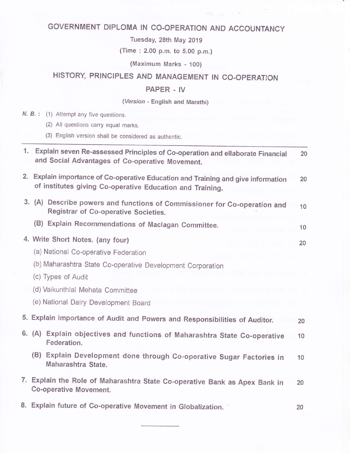# GOVERNMENT DIPLOMA IN GO.OPERATION AND ACCOUNTANCY

Tuesday, 28th May 2019

(Time : 2.00 p.m. to S.00 p.m.)

(Maximum Marks - 100)

## HISTORY, PRINCIPLES AND MANAGEMENT IN CO-OPERATION

#### PAPER . IV

#### (Version - English and Marathi)

| N. B.: (1) Attempt any five questions.                                                                                                         |    |
|------------------------------------------------------------------------------------------------------------------------------------------------|----|
| (2) All questions carry equal marks.<br>(3) English version shall be considered as authentic.                                                  |    |
| 1. Explain seven Re-assessed Principles of Co-operation and ellaborate Financial<br>and Social Advantages of Co-operative Movement.            | 20 |
| 2. Explain importance of Co-operative Education and Training and give information<br>of institutes giving Co-operative Education and Training. | 20 |
| 3. (A) Describe powers and functions of Commissioner for Co-operation and<br>Registrar of Co-operative Societies.                              | 10 |
| (B) Explain Recommendations of Maclagan Committee.                                                                                             | 10 |
| 4. Write Short Notes. (any four)                                                                                                               | 20 |
| (a) National Co-operative Federation                                                                                                           |    |
| (b) Maharashtra State Co-operative Development Corporation                                                                                     |    |
| (c) Types of Audit                                                                                                                             |    |
| (d) Vaikunthlal Mehata Committee                                                                                                               |    |
| (e) National Dairy Development Board                                                                                                           |    |
| 5. Explain importance of Audit and Powers and Responsibilities of Auditor.                                                                     | 20 |
| 6. (A) Explain objectives and functions of Maharashtra State Co-operative<br>Federation.                                                       | 10 |
| (B)<br>Explain Development done through Co-operative Sugar Factories in<br>Maharashtra State.                                                  | 10 |
| 7. Explain the Role of Maharashtra State Co-operative Bank as Apex Bank in<br><b>Co-operative Movement.</b>                                    | 20 |
| 8. Explain future of Co-operative Movement in Globalization.                                                                                   | 20 |